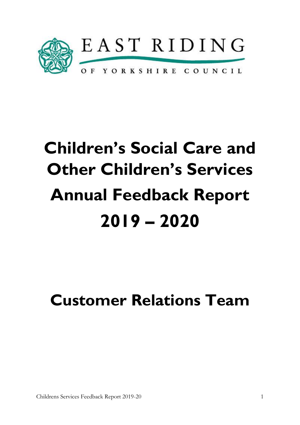

# **Children's Social Care and Other Children's Services Annual Feedback Report 2019 – 2020**

# **Customer Relations Team**

Childrens Services Feedback Report 2019-20 1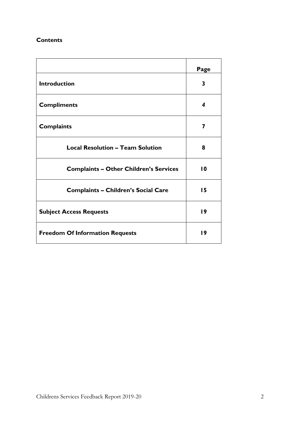# **Contents**

|                                               | Page            |
|-----------------------------------------------|-----------------|
| <b>Introduction</b>                           | 3               |
| <b>Compliments</b>                            | 4               |
| <b>Complaints</b>                             | 7               |
| <b>Local Resolution - Team Solution</b>       | 8               |
| <b>Complaints - Other Children's Services</b> | $\overline{10}$ |
| <b>Complaints - Children's Social Care</b>    | 15              |
| <b>Subject Access Requests</b>                | 19              |
| <b>Freedom Of Information Requests</b>        | 19              |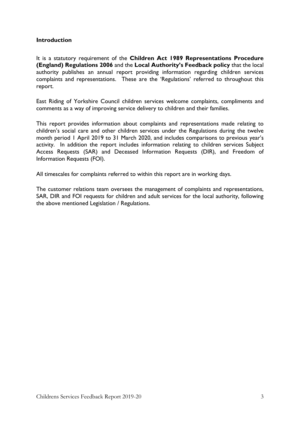#### **Introduction**

It is a statutory requirement of the **Children Act 1989 Representations Procedure (England) Regulations 2006** and the **Local Authority's Feedback policy** that the local authority publishes an annual report providing information regarding children services complaints and representations. These are the 'Regulations' referred to throughout this report.

East Riding of Yorkshire Council children services welcome complaints, compliments and comments as a way of improving service delivery to children and their families.

This report provides information about complaints and representations made relating to children's social care and other children services under the Regulations during the twelve month period 1 April 2019 to 31 March 2020, and includes comparisons to previous year's activity. In addition the report includes information relating to children services Subject Access Requests (SAR) and Deceased Information Requests (DIR), and Freedom of Information Requests (FOI).

All timescales for complaints referred to within this report are in working days.

The customer relations team oversees the management of complaints and representations, SAR, DIR and FOI requests for children and adult services for the local authority, following the above mentioned Legislation / Regulations.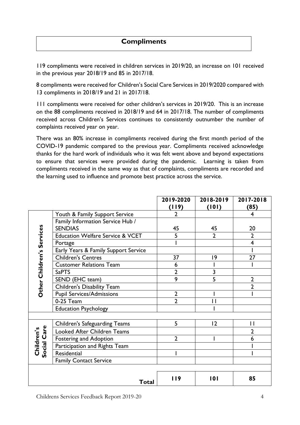# **Compliments**

119 compliments were received in children services in 2019/20, an increase on 101 received in the previous year 2018/19 and 85 in 2017/18.

8 compliments were received for Children's Social Care Services in 2019/2020 compared with 13 compliments in 2018/19 and 21 in 2017/18.

111 compliments were received for other children's services in 2019/20. This is an increase on the 88 compliments received in 2018/19 and 64 in 2017/18. The number of compliments received across Children's Services continues to consistently outnumber the number of complaints received year on year.

There was an 80% increase in compliments received during the first month period of the COVID-19 pandemic compared to the previous year. Compliments received acknowledge thanks for the hard work of individuals who it was felt went above and beyond expectations to ensure that services were provided during the pandemic*.* Learning is taken from compliments received in the same way as that of complaints, compliments are recorded and the learning used to influence and promote best practice across the service.

|                           |                                             | 2019-2020      | 2018-2019      | 2017-2018      |
|---------------------------|---------------------------------------------|----------------|----------------|----------------|
|                           |                                             | (119)          | (101)          | (85)           |
|                           | Youth & Family Support Service              | $\overline{2}$ |                | 4              |
|                           | Family Information Service Hub /            |                |                |                |
|                           | <b>SENDIAS</b>                              | 45             | 45             | 20             |
|                           | <b>Education Welfare Service &amp; VCET</b> | 5              | $\overline{2}$ | $\overline{2}$ |
| Other Children's Services | Portage                                     |                |                | 4              |
|                           | Early Years & Family Support Service        |                |                |                |
|                           | <b>Children's Centres</b>                   | 37             | 9              | 27             |
|                           | <b>Customer Relations Team</b>              | 6              |                |                |
|                           | <b>SaPTS</b>                                | $\overline{2}$ | 3              |                |
|                           | SEND (EHC team)                             | $\overline{9}$ | $\overline{5}$ | $\overline{2}$ |
|                           | <b>Children's Disability Team</b>           |                |                | $\overline{2}$ |
|                           | <b>Pupil Services/Admissions</b>            | $\overline{2}$ |                |                |
|                           | 0-25 Team                                   | $\overline{2}$ | $\mathsf{I}$   |                |
|                           | <b>Education Psychology</b>                 |                |                |                |
|                           |                                             |                |                |                |
|                           | <b>Children's Safeguarding Teams</b>        | 5              | 2              | $\mathbf{I}$   |
| Social Care<br>Children's | <b>Looked After Children Teams</b>          |                |                | 2              |
|                           | <b>Fostering and Adoption</b>               | $\overline{2}$ |                | 6              |
|                           | Participation and Rights Team               |                |                |                |
|                           | Residential                                 |                |                |                |
|                           | <b>Family Contact Service</b>               |                |                |                |
|                           |                                             |                |                |                |
|                           | Total                                       | <b>119</b>     | 101            | 85             |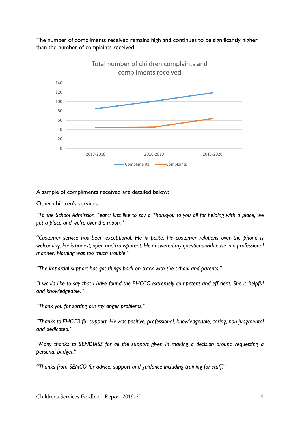The number of compliments received remains high and continues to be significantly higher than the number of complaints received.



#### A sample of compliments received are detailed below:

Other children's services:

*"To the School Admission Team: Just like to say a Thankyou to you all for helping with a place, we got a place and we're over the moon."*

*"Customer service has been exceptional. He is polite, his customer relations over the phone is welcoming. He is honest, open and transparent. He answered my questions with ease in a professional manner. Nothing was too much trouble."*

*"The impartial support has got things back on track with the school and parents."*

*"I would like to say that I have found the EHCCO extremely competent and efficient. She is helpful and knowledgeable."*

*"Thank you for sorting out my anger problems."*

*"Thanks to EHCCO for support. He was positive, professional, knowledgeable, caring, non-judgmental and dedicated."*

*"Many thanks to SENDIASS for all the support given in making a decision around requesting a personal budget."*

*"Thanks from SENCO for advice, support and guidance including training for staff."*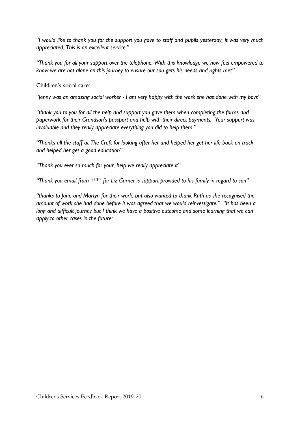*"I would like to thank you for the support you gave to staff and pupils yesterday, it was very much appreciated. This is an excellent service."*

*"Thank you for all your support over the telephone. With this knowledge we now feel empowered to know we are not alone on this journey to ensure our son gets his needs and rights met".*

Children's social care:

*"Jenny was an amazing social worker - I am very happy with the work she has done with my boys"*

*"thank you to you for all the help and support you gave them when completing the forms and paperwork for their Grandson's passport and help with their direct payments. Your support was invaluable and they really appreciate everything you did to help them."*

*"Thanks all the staff at The Croft for looking after her and helped her get her life back on track and helped her get a good education"*

*"Thank you ever so much for your, help we really appreciate it"*

*"Thank you email from \*\*\*\* for Liz Garner is support provided to his family in regard to son"* 

*"thanks to Jane and Martyn for their work, but also wanted to thank Ruth as she recognised the amount of work she had done before it was agreed that we would reinvestigate." "It has been a long and difficult journey but I think we have a positive outcome and some learning that we can apply to other cases in the future:*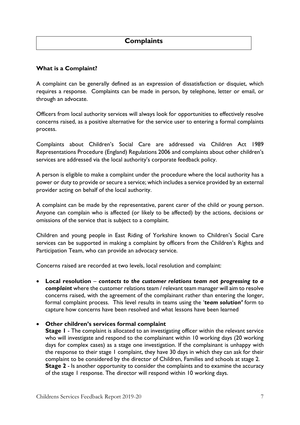# **What is a Complaint?**

A complaint can be generally defined as an expression of dissatisfaction or disquiet, which requires a response. Complaints can be made in person, by telephone, letter or email, or through an advocate.

Officers from local authority services will always look for opportunities to effectively resolve concerns raised, as a positive alternative for the service user to entering a formal complaints process.

Complaints about Children's Social Care are addressed via Children Act 1989 Representations Procedure (England) Regulations 2006 and complaints about other children's services are addressed via the local authority's corporate feedback policy.

A person is eligible to make a complaint under the procedure where the local authority has a power or duty to provide or secure a service; which includes a service provided by an external provider acting on behalf of the local authority.

A complaint can be made by the representative, parent carer of the child or young person. Anyone can complain who is affected (or likely to be affected) by the actions, decisions or omissions of the service that is subject to a complaint.

Children and young people in East Riding of Yorkshire known to Children's Social Care services can be supported in making a complaint by officers from the Children's Rights and Participation Team, who can provide an advocacy service.

Concerns raised are recorded at two levels, local resolution and complaint:

• **Local resolution** – *contacts to the customer relations team not progressing to a complaint* where the customer relations team / relevant team manager will aim to resolve concerns raised, with the agreement of the complainant rather than entering the longer, formal complaint process. This level results in teams using the '*team solution'* form to capture how concerns have been resolved and what lessons have been learned

#### • **Other children's services formal complaint**

**Stage 1** - The complaint is allocated to an investigating officer within the relevant service who will investigate and respond to the complainant within 10 working days (20 working days for complex cases) as a stage one investigation. If the complainant is unhappy with the response to their stage 1 complaint, they have 30 days in which they can ask for their complaint to be considered by the director of Children, Families and schools at stage 2. **Stage 2** - Is another opportunity to consider the complaints and to examine the accuracy of the stage 1 response. The director will respond within 10 working days.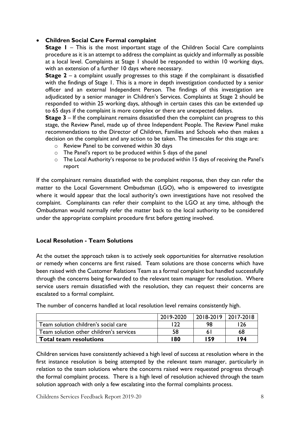### • **Children Social Care Formal complaint**

**Stage I** – This is the most important stage of the Children Social Care complaints procedure as it is an attempt to address the complaint as quickly and informally as possible at a local level. Complaints at Stage 1 should be responded to within 10 working days, with an extension of a further 10 days where necessary.

**Stage 2** – a complaint usually progresses to this stage if the complainant is dissatisfied with the findings of Stage 1. This is a more in depth investigation conducted by a senior officer and an external Independent Person. The findings of this investigation are adjudicated by a senior manager in Children's Services. Complaints at Stage 2 should be responded to within 25 working days, although in certain cases this can be extended up to 65 days if the complaint is more complex or there are unexpected delays.

**Stage 3** – If the complainant remains dissatisfied then the complaint can progress to this stage, the Review Panel, made up of three Independent People. The Review Panel make recommendations to the Director of Children, Families and Schools who then makes a decision on the complaint and any action to be taken. The timescales for this stage are:

- o Review Panel to be convened within 30 days
- o The Panel's report to be produced within 5 days of the panel
- o The Local Authority's response to be produced within 15 days of receiving the Panel's report

If the complainant remains dissatisfied with the complaint response, then they can refer the matter to the Local Government Ombudsman (LGO), who is empowered to investigate where it would appear that the local authority's own investigations have not resolved the complaint. Complainants can refer their complaint to the LGO at any time, although the Ombudsman would normally refer the matter back to the local authority to be considered under the appropriate complaint procedure first before getting involved.

#### **Local Resolution - Team Solutions**

At the outset the approach taken is to actively seek opportunities for alternative resolution or remedy when concerns are first raised. Team solutions are those concerns which have been raised with the Customer Relations Team as a formal complaint but handled successfully through the concerns being forwarded to the relevant team manager for resolution. Where service users remain dissatisfied with the resolution, they can request their concerns are escalated to a formal complaint.

|                                         | 2019-2020 | 2018-2019 2017-2018 |     |
|-----------------------------------------|-----------|---------------------|-----|
| Team solution children's social care    | ררו       | 98                  | 26  |
| Team solution other children's services | 58        |                     | 68  |
| <b>Total team resolutions</b>           | 180       | 159                 | 194 |

The number of concerns handled at local resolution level remains consistently high.

Children services have consistently achieved a high level of success at resolution where in the first instance resolution is being attempted by the relevant team manager, particularly in relation to the team solutions where the concerns raised were requested progress through the formal complaint process. There is a high level of resolution achieved through the team solution approach with only a few escalating into the formal complaints process.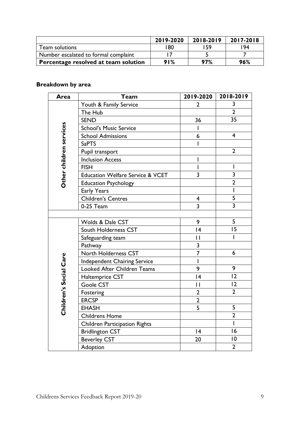|                                      | 2019-2020 | 2018-2019 | 2017-2018 |
|--------------------------------------|-----------|-----------|-----------|
| Team solutions                       | 180       | 159       | '94       |
| Number escalated to formal complaint |           |           |           |
| Percentage resolved at team solution | 91%       | 97%       | 96%       |

# **Breakdown by area**

| Area                    | <b>Team</b>                                 | 2019-2020               | 2018-2019               |
|-------------------------|---------------------------------------------|-------------------------|-------------------------|
|                         | Youth & Family Service                      | $\overline{2}$          | 3                       |
|                         | The Hub                                     |                         | $\overline{2}$          |
|                         | <b>SEND</b>                                 | 36                      | 35                      |
| Other children services | <b>School's Music Service</b>               | L                       |                         |
|                         | <b>School Admissions</b>                    | 6                       | $\overline{4}$          |
|                         | <b>SaPTS</b>                                |                         |                         |
|                         | Pupil transport                             |                         | $\overline{2}$          |
|                         | <b>Inclusion Access</b>                     | I                       |                         |
|                         | <b>FISH</b>                                 | I                       | I                       |
|                         | <b>Education Welfare Service &amp; VCET</b> | $\overline{3}$          | $\overline{\mathbf{3}}$ |
|                         | <b>Education Psychology</b>                 |                         | $\overline{2}$          |
|                         | Early Years                                 |                         | Ī                       |
|                         | <b>Children's Centres</b>                   | $\overline{\mathbf{4}}$ | 5                       |
|                         | 0-25 Team                                   | $\overline{3}$          | $\overline{\mathbf{3}}$ |
|                         |                                             |                         |                         |
|                         | Wolds & Dale CST                            | 9                       | 5                       |
|                         | South Holderness CST                        | 4                       | 15                      |
|                         | Safeguarding team                           | $\mathbf{I}$            | I                       |
|                         | Pathway                                     | $\overline{\mathbf{3}}$ |                         |
|                         | North Holderness CST                        | $\overline{7}$          | 6                       |
|                         | <b>Independent Chairing Service</b>         | T                       |                         |
| Children's Social Care  | <b>Looked After Children Teams</b>          | 9                       | 9                       |
|                         | Haltemprice CST                             | 4                       | 2                       |
|                         | Goole CST                                   | $\overline{1}$          | 2                       |
|                         | Fostering                                   | $\overline{2}$          | $\overline{2}$          |
|                         | <b>ERCSP</b>                                | $\overline{2}$          |                         |
|                         | <b>EHASH</b>                                | 5                       | 5                       |
|                         | <b>Childrens Home</b>                       |                         | $\overline{2}$          |
|                         | <b>Children Participation Rights</b>        |                         | T                       |
|                         | <b>Bridlington CST</b>                      | 4                       | 16                      |
|                         | <b>Beverley CST</b>                         | 20                      | $\overline{0}$          |
|                         | Adoption                                    |                         | $\overline{2}$          |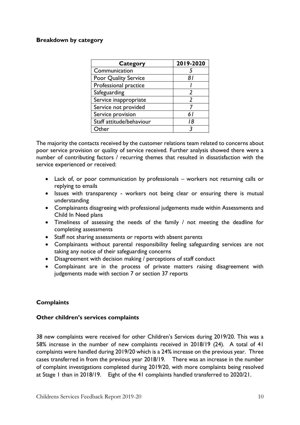#### **Breakdown by category**

| <b>Category</b>          | 2019-2020      |
|--------------------------|----------------|
| Communication            |                |
| Poor Quality Service     | 81             |
| Professional practice    |                |
| Safeguarding             | $\mathfrak{p}$ |
| Service inappropriate    | $\mathfrak z$  |
| Service not provided     |                |
| Service provision        | 61             |
| Staff attitude/behaviour | 18             |
| Other                    |                |

The majority the contacts received by the customer relations team related to concerns about poor service provision or quality of service received. Further analysis showed there were a number of contributing factors / recurring themes that resulted in dissatisfaction with the service experienced or received:

- Lack of, or poor communication by professionals workers not returning calls or replying to emails
- Issues with transparency workers not being clear or ensuring there is mutual understanding
- Complainants disagreeing with professional judgements made within Assessments and Child In Need plans
- Timeliness of assessing the needs of the family / not meeting the deadline for completing assessments
- Staff not sharing assessments or reports with absent parents
- Complainants without parental responsibility feeling safeguarding services are not taking any notice of their safeguarding concerns
- Disagreement with decision making / perceptions of staff conduct
- Complainant are in the process of private matters raising disagreement with judgements made with section 7 or section 37 reports

#### **Complaints**

#### **Other children's services complaints**

38 new complaints were received for other Children's Services during 2019/20. This was a 58% increase in the number of new complaints received in 2018/19 (24). A total of 41 complaints were handled during 2019/20 which is a 24% increase on the previous year. Three cases transferred in from the previous year 2018/19. There was an increase in the number of complaint investigations completed during 2019/20, with more complaints being resolved at Stage 1 than in 2018/19. Eight of the 41 complaints handled transferred to 2020/21.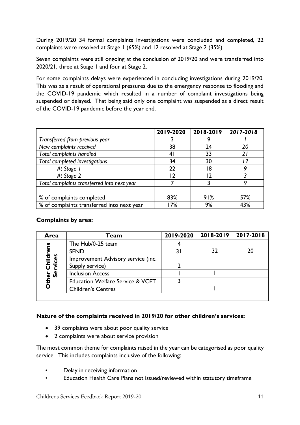During 2019/20 34 formal complaints investigations were concluded and completed, 22 complaints were resolved at Stage 1 (65%) and 12 resolved at Stage 2 (35%).

Seven complaints were still ongoing at the conclusion of 2019/20 and were transferred into 2020/21, three at Stage 1 and four at Stage 2.

For some complaints delays were experienced in concluding investigations during 2019/20. This was as a result of operational pressures due to the emergency response to flooding and the COVID-19 pandemic which resulted in a number of complaint investigations being suspended or delayed. That being said only one complaint was suspended as a direct result of the COVID-19 pandemic before the year end.

|                                             | 2019-2020       | 2018-2019 | 2017-2018      |
|---------------------------------------------|-----------------|-----------|----------------|
| Transferred from previous year              |                 |           |                |
| New complaints received                     | 38              | 24        | 20             |
| <b>Total complaints handled</b>             | $\vert 4 \vert$ | 33        | $\overline{2}$ |
| Total completed investigations              | 34              | 30        |                |
| At Stage 1                                  | 22              | 18        |                |
| At Stage 2                                  | 12              | ר ו       |                |
| Total complaints transferred into next year |                 |           |                |
|                                             |                 |           |                |
| % of complaints completed                   | 83%             | 91%       | 57%            |
| % of complaints transferred into next year  | 17%             | 9%        | 43%            |

#### **Complaints by area:**

| Area                                      | Team                                        | 2019-2020 | 2018-2019 | 2017-2018 |
|-------------------------------------------|---------------------------------------------|-----------|-----------|-----------|
|                                           | The Hub/0-25 team                           |           |           |           |
| <b>Other Childrens</b><br><b>Services</b> | <b>SEND</b>                                 |           | 32        |           |
|                                           | Improvement Advisory service (inc.          |           |           |           |
|                                           | Supply service)                             |           |           |           |
|                                           | <b>Inclusion Access</b>                     |           |           |           |
|                                           | <b>Education Welfare Service &amp; VCET</b> |           |           |           |
|                                           | <b>Children's Centres</b>                   |           |           |           |
|                                           |                                             |           |           |           |

#### **Nature of the complaints received in 2019/20 for other children's services:**

- 39 complaints were about poor quality service
- 2 complaints were about service provision

The most common theme for complaints raised in the year can be categorised as poor quality service. This includes complaints inclusive of the following:

- Delay in receiving information
- Education Health Care Plans not issued/reviewed within statutory timeframe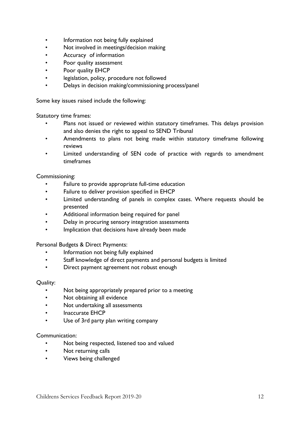- Information not being fully explained
- Not involved in meetings/decision making
- Accuracy of information
- Poor quality assessment
- Poor quality EHCP
- legislation, policy, procedure not followed
- Delays in decision making/commissioning process/panel

Some key issues raised include the following:

Statutory time frames:

- Plans not issued or reviewed within statutory timeframes. This delays provision and also denies the right to appeal to SEND Tribunal
- Amendments to plans not being made within statutory timeframe following reviews
- Limited understanding of SEN code of practice with regards to amendment timeframes

#### Commissioning:

- Failure to provide appropriate full-time education
- Failure to deliver provision specified in EHCP
- Limited understanding of panels in complex cases. Where requests should be presented
- Additional information being required for panel
- Delay in procuring sensory integration assessments
- Implication that decisions have already been made

#### Personal Budgets & Direct Payments:

- Information not being fully explained
- Staff knowledge of direct payments and personal budgets is limited
- Direct payment agreement not robust enough

#### Quality:

- Not being appropriately prepared prior to a meeting
- Not obtaining all evidence
- Not undertaking all assessments
- Inaccurate EHCP
- Use of 3rd party plan writing company

#### Communication:

- Not being respected, listened too and valued
- Not returning calls
- Views being challenged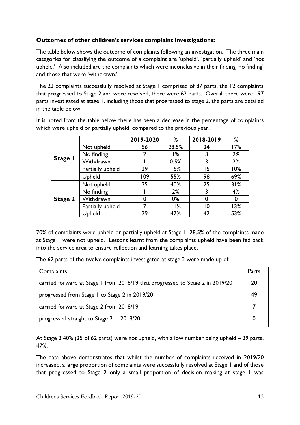# **Outcomes of other children's services complaint investigations:**

The table below shows the outcome of complaints following an investigation. The three main categories for classifying the outcome of a complaint are 'upheld', 'partially upheld' and 'not upheld.' Also included are the complaints which were inconclusive in their finding 'no finding' and those that were 'withdrawn.'

The 22 complaints successfully resolved at Stage 1 comprised of 87 parts, the 12 complaints that progressed to Stage 2 and were resolved, there were 62 parts. Overall there were 197 parts investigated at stage 1, including those that progressed to stage 2, the parts are detailed in the table below.

It is noted from the table below there has been a decrease in the percentage of complaints which were upheld or partially upheld, compared to the previous year.

|         |                  | 2019-2020      | %     | 2018-2019 | %   |
|---------|------------------|----------------|-------|-----------|-----|
|         | Not upheld       | 56             | 28.5% | 24        | 17% |
|         | No finding       | $\overline{2}$ | %ا    |           | 2%  |
| Stage I | Withdrawn        |                | 0.5%  |           | 2%  |
|         | Partially upheld | 29             | 15%   | 15        | 10% |
|         | Upheld           | 109            | 55%   | 98        | 69% |
|         | Not upheld       | 25             | 40%   | 25        | 31% |
|         | No finding       |                | 2%    | 3         | 4%  |
| Stage 2 | Withdrawn        | 0              | 0%    | 0         | 0   |
|         | Partially upheld |                | 11%   | 10        | 13% |
|         | Upheld           | 29             | 47%   | 42        | 53% |

70% of complaints were upheld or partially upheld at Stage 1; 28.5% of the complaints made at Stage 1 were not upheld. Lessons learnt from the complaints upheld have been fed back into the service area to ensure reflection and learning takes place.

The 62 parts of the twelve complaints investigated at stage 2 were made up of:

| Complaints                                                                    | Parts |
|-------------------------------------------------------------------------------|-------|
| carried forward at Stage 1 from 2018/19 that progressed to Stage 2 in 2019/20 | 20    |
| progressed from Stage 1 to Stage 2 in 2019/20                                 | 49    |
| carried forward at Stage 2 from 2018/19                                       |       |
| progressed straight to Stage 2 in 2019/20                                     |       |

At Stage 2 40% (25 of 62 parts) were not upheld, with a low number being upheld – 29 parts, 47%.

The data above demonstrates that whilst the number of complaints received in 2019/20 increased, a large proportion of complaints were successfully resolved at Stage 1 and of those that progressed to Stage 2 only a small proportion of decision making at stage 1 was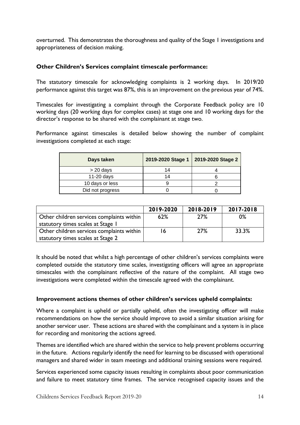overturned. This demonstrates the thoroughness and quality of the Stage 1 investigations and appropriateness of decision making.

#### **Other Children's Services complaint timescale performance:**

The statutory timescale for acknowledging complaints is 2 working days. In 2019/20 performance against this target was 87%, this is an improvement on the previous year of 74%.

Timescales for investigating a complaint through the Corporate Feedback policy are 10 working days (20 working days for complex cases) at stage one and 10 working days for the director's response to be shared with the complainant at stage two.

Performance against timescales is detailed below showing the number of complaint investigations completed at each stage:

| Days taken       | 2019-2020 Stage 1 | 2019-2020 Stage 2 |
|------------------|-------------------|-------------------|
| $> 20$ days      | 14                |                   |
| 11-20 days       | 14                |                   |
| 10 days or less  |                   |                   |
| Did not progress |                   |                   |

|                                           | 2019-2020 | 2018-2019 | 2017-2018 |
|-------------------------------------------|-----------|-----------|-----------|
| Other children services complaints within | 62%       | 27%       | 0%        |
| statutory times scales at Stage I         |           |           |           |
| Other children services complaints within | 16        | 27%       | 33.3%     |
| statutory times scales at Stage 2         |           |           |           |

It should be noted that whilst a high percentage of other children's services complaints were completed outside the statutory time scales, investigating officers will agree an appropriate timescales with the complainant reflective of the nature of the complaint. All stage two investigations were completed within the timescale agreed with the complainant.

#### **Improvement actions themes of other children's services upheld complaints:**

Where a complaint is upheld or partially upheld, often the investigating officer will make recommendations on how the service should improve to avoid a similar situation arising for another servicer user. These actions are shared with the complainant and a system is in place for recording and monitoring the actions agreed.

Themes are identified which are shared within the service to help prevent problems occurring in the future. Actions regularly identify the need for learning to be discussed with operational managers and shared wider in team meetings and additional training sessions were required.

Services experienced some capacity issues resulting in complaints about poor communication and failure to meet statutory time frames. The service recognised capacity issues and the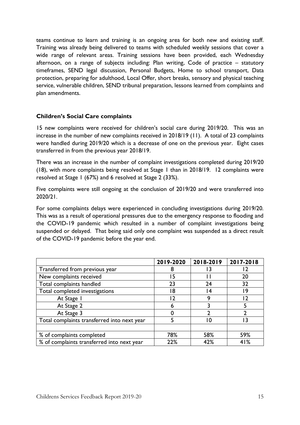teams continue to learn and training is an ongoing area for both new and existing staff. Training was already being delivered to teams with scheduled weekly sessions that cover a wide range of relevant areas. Training sessions have been provided, each Wednesday afternoon, on a range of subjects including: Plan writing, Code of practice – statutory timeframes, SEND legal discussion, Personal Budgets, Home to school transport, Data protection, preparing for adulthood, Local Offer, short breaks, sensory and physical teaching service, vulnerable children, SEND tribunal preparation, lessons learned from complaints and plan amendments.

#### **Children's Social Care complaints**

15 new complaints were received for children's social care during 2019/20. This was an increase in the number of new complaints received in 2018/19 (11).A total of 23 complaints were handled during 2019/20 which is a decrease of one on the previous year. Eight cases transferred in from the previous year 2018/19.

There was an increase in the number of complaint investigations completed during 2019/20 (18), with more complaints being resolved at Stage 1 than in 2018/19. 12 complaints were resolved at Stage 1 (67%) and 6 resolved at Stage 2 (33%).

Five complaints were still ongoing at the conclusion of 2019/20 and were transferred into 2020/21.

For some complaints delays were experienced in concluding investigations during 2019/20. This was as a result of operational pressures due to the emergency response to flooding and the COVID-19 pandemic which resulted in a number of complaint investigations being suspended or delayed. That being said only one complaint was suspended as a direct result of the COVID-19 pandemic before the year end.

|                                             | 2019-2020 | 2018-2019 | 2017-2018 |
|---------------------------------------------|-----------|-----------|-----------|
| Transferred from previous year              | 8         |           |           |
| New complaints received                     | 15        |           | 20        |
| Total complaints handled                    | 23        | 24        | 32        |
| Total completed investigations              | 18        |           | 9         |
| At Stage 1                                  | - 7       | q         |           |
| At Stage 2                                  | 6         |           |           |
| At Stage 3                                  |           | า         |           |
| Total complaints transferred into next year |           |           |           |
|                                             |           |           |           |
| % of complaints completed                   | 78%       | 58%       | 59%       |
| % of complaints transferred into next year  | 22%       | 42%       | 41%       |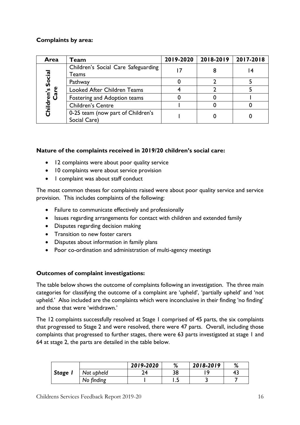# **Complaints by area:**

| Area         | Team                                              | 2019-2020 | 2018-2019 | 2017-2018 |
|--------------|---------------------------------------------------|-----------|-----------|-----------|
| Social       | Children's Social Care Safeguarding<br>Teams      |           |           | 4         |
|              | Pathway                                           |           |           |           |
| Children's 9 | Looked After Children Teams                       |           |           |           |
|              | Fostering and Adoption teams                      |           |           |           |
|              | <b>Children's Centre</b>                          |           |           |           |
|              | 0-25 team (now part of Children's<br>Social Care) |           |           |           |

# **Nature of the complaints received in 2019/20 children's social care:**

- 12 complaints were about poor quality service
- 10 complaints were about service provision
- 1 complaint was about staff conduct

The most common theses for complaints raised were about poor quality service and service provision. This includes complaints of the following:

- Failure to communicate effectively and professionally
- Issues regarding arrangements for contact with children and extended family
- Disputes regarding decision making
- Transition to new foster carers
- Disputes about information in family plans
- Poor co-ordination and administration of multi-agency meetings

# **Outcomes of complaint investigations:**

The table below shows the outcome of complaints following an investigation. The three main categories for classifying the outcome of a complaint are 'upheld', 'partially upheld' and 'not upheld.' Also included are the complaints which were inconclusive in their finding 'no finding' and those that were 'withdrawn.'

The 12 complaints successfully resolved at Stage 1 comprised of 45 parts, the six complaints that progressed to Stage 2 and were resolved, there were 47 parts. Overall, including those complaints that progressed to further stages, there were 63 parts investigated at stage 1 and 64 at stage 2, the parts are detailed in the table below.

|         |            | 2019-2020 | %  | 2018-2019 | %  |
|---------|------------|-----------|----|-----------|----|
| Stage I | Not upheld | ∍⊿        | 38 |           | 4. |
|         | No finding |           |    |           |    |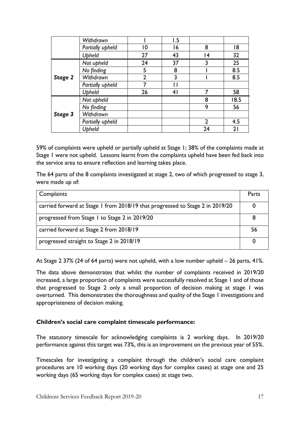|         | Withdrawn        |                | 1.5            |    |      |
|---------|------------------|----------------|----------------|----|------|
|         | Partially upheld | 10             | 16             | 8  | 18   |
|         | Upheld           | 27             | 43             | 4  | 32   |
|         | Not upheld       | 24             | 37             | 3  | 25   |
|         | No finding       | 5              | 8              |    | 8.5  |
| Stage 2 | Withdrawn        | $\overline{2}$ | 3              |    | 8.5  |
|         | Partially upheld |                |                |    |      |
|         | <b>Upheld</b>    | 26             | 4 <sub>l</sub> |    | 58   |
|         | Not upheld       |                |                | 8  | 18.5 |
|         | No finding       |                |                | 9  | 56   |
| Stage 3 | Withdrawn        |                |                |    |      |
|         | Partially upheld |                |                | າ  | 4.5  |
|         | Upheld           |                |                | 24 | 21   |

59% of complaints were upheld or partially upheld at Stage 1; 38% of the complaints made at Stage 1 were not upheld. Lessons learnt from the complaints upheld have been fed back into the service area to ensure reflection and learning takes place.

The 64 parts of the 8 complaints investigated at stage 2, two of which progressed to stage 3, were made up of:

| Complaints                                                                    | Parts |
|-------------------------------------------------------------------------------|-------|
| carried forward at Stage 1 from 2018/19 that progressed to Stage 2 in 2019/20 |       |
| progressed from Stage 1 to Stage 2 in 2019/20                                 |       |
| carried forward at Stage 2 from 2018/19                                       | 56    |
| progressed straight to Stage 2 in 2018/19                                     |       |

At Stage 2 37% (24 of 64 parts) were not upheld, with a low number upheld – 26 parts, 41%.

The data above demonstrates that whilst the number of complaints received in 2019/20 increased, a large proportion of complaints were successfully resolved at Stage 1 and of those that progressed to Stage 2 only a small proportion of decision making at stage 1 was overturned. This demonstrates the thoroughness and quality of the Stage 1 investigations and appropriateness of decision making.

#### **Children's social care complaint timescale performance:**

The statutory timescale for acknowledging complaints is 2 working days. In 2019/20 performance against this target was 73%, this is an improvement on the previous year of 55%.

Timescales for investigating a complaint through the children's social care complaint procedures are 10 working days (20 working days for complex cases) at stage one and 25 working days (65 working days for complex cases) at stage two.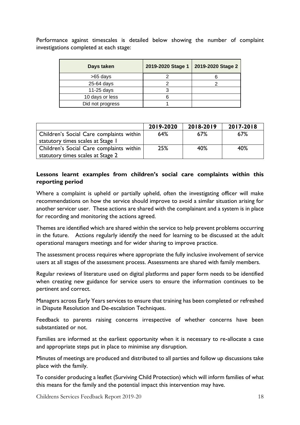Performance against timescales is detailed below showing the number of complaint investigations completed at each stage:

| Days taken       | 2019-2020 Stage 1 | 2019-2020 Stage 2 |
|------------------|-------------------|-------------------|
| >65 days         |                   |                   |
| 25-64 days       |                   |                   |
| 11-25 days       |                   |                   |
| 10 days or less  |                   |                   |
| Did not progress |                   |                   |

|                                          | 2019-2020 | 2018-2019 | 2017-2018 |
|------------------------------------------|-----------|-----------|-----------|
| Children's Social Care complaints within | 64%       | 67%       | 67%       |
| statutory times scales at Stage 1        |           |           |           |
| Children's Social Care complaints within | 25%       | 40%       | 40%       |
| statutory times scales at Stage 2        |           |           |           |

## **Lessons learnt examples from children's social care complaints within this reporting period**

Where a complaint is upheld or partially upheld, often the investigating officer will make recommendations on how the service should improve to avoid a similar situation arising for another servicer user. These actions are shared with the complainant and a system is in place for recording and monitoring the actions agreed.

Themes are identified which are shared within the service to help prevent problems occurring in the future. Actions regularly identify the need for learning to be discussed at the adult operational managers meetings and for wider sharing to improve practice.

The assessment process requires where appropriate the fully inclusive involvement of service users at all stages of the assessment process. Assessments are shared with family members.

Regular reviews of literature used on digital platforms and paper form needs to be identified when creating new guidance for service users to ensure the information continues to be pertinent and correct.

Managers across Early Years services to ensure that training has been completed or refreshed in Dispute Resolution and De-escalation Techniques.

Feedback to parents raising concerns irrespective of whether concerns have been substantiated or not.

Families are informed at the earliest opportunity when it is necessary to re-allocate a case and appropriate steps put in place to minimise any disruption.

Minutes of meetings are produced and distributed to all parties and follow up discussions take place with the family.

To consider producing a leaflet (Surviving Child Protection) which will inform families of what this means for the family and the potential impact this intervention may have.

Childrens Services Feedback Report 2019-20 18